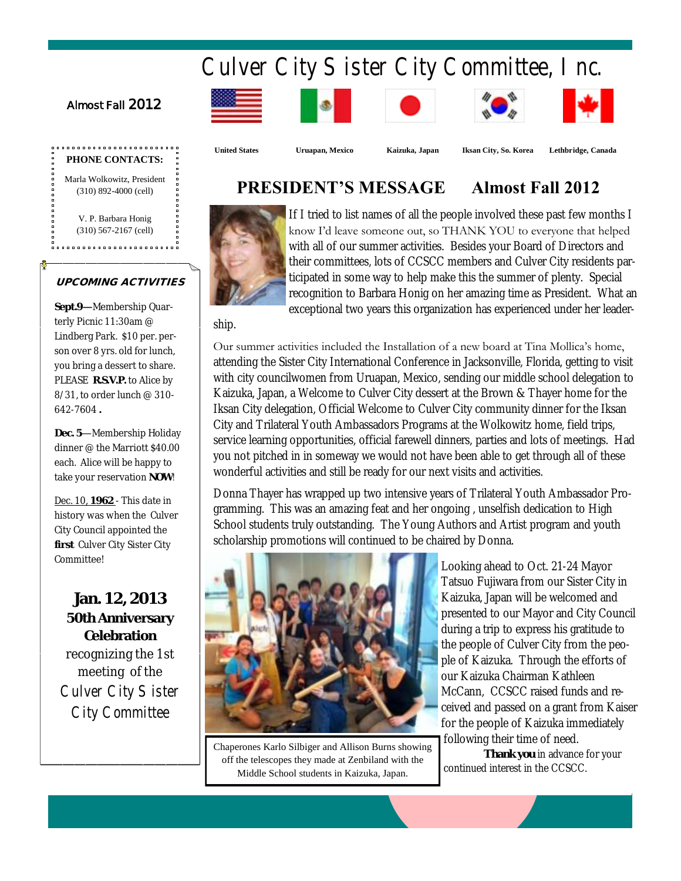# Culver City Sister City Committee, Inc.

#### **Almost Fall 2012**











| n<br>.                          | ۰            |
|---------------------------------|--------------|
| n                               | o            |
| <b>PHONE CONTACTS:</b><br>٠     | ۰            |
| n                               | o            |
| o                               | $\Box$       |
| o                               | o            |
| Marla Wolkowitz, President<br>n | $\Box$       |
| ٠                               | $\mathbf{a}$ |
| $(310)$ 892-4000 (cell)<br>n    | o            |
| o                               | o            |
| o                               | o            |
| o                               | $\Box$       |
| o                               | o            |
| n<br>V. P. Barbara Honig        | o            |
| o                               | o            |
| ۰                               | o            |
| $(310)$ 567-2167 (cell)<br>o    | o            |
| ۰                               | o            |
| n                               | n            |
|                                 | п            |
|                                 |              |

#### UPCOMING ACTIVITIES

**Sept.9—**Membership Quarterly Picnic 11:30am @ Lindberg Park. \$10 per. person over 8 yrs. old for lunch, you bring a dessert to share. PLEASE **R.S.V.P.** to Alice by 8/31, to order lunch @ 310- 642-7604 **.** 

**Dec. 5**—Membership Holiday dinner @ the Marriott \$40.00 each. Alice will be happy to take your reservation **NOW**!

Dec. 10, **1962** - This date in history was when the Culver City Council appointed the **first** Culver City Sister City Committee!

**Jan. 12, 2013 50th Anniversary Celebration**  recognizing the 1st meeting of the Culver City Sister City Committee

 **United States Uruapan, Mexico Kaizuka, Japan Iksan City, So. Korea Lethbridge, Canada**

### **PRESIDENT'S MESSAGE Almost Fall 2012**



If I tried to list names of all the people involved these past few months I know I'd leave someone out, so THANK YOU to everyone that helped with all of our summer activities. Besides your Board of Directors and their committees, lots of CCSCC members and Culver City residents participated in some way to help make this the summer of plenty. Special recognition to Barbara Honig on her amazing time as President. What an exceptional two years this organization has experienced under her leader-

ship.

Our summer activities included the Installation of a new board at Tina Mollica's home, attending the Sister City International Conference in Jacksonville, Florida, getting to visit with city councilwomen from Uruapan, Mexico, sending our middle school delegation to Kaizuka, Japan, a Welcome to Culver City dessert at the Brown & Thayer home for the Iksan City delegation, Official Welcome to Culver City community dinner for the Iksan City and Trilateral Youth Ambassadors Programs at the Wolkowitz home, field trips, service learning opportunities, official farewell dinners, parties and lots of meetings. Had you not pitched in in someway we would not have been able to get through all of these wonderful activities and still be ready for our next visits and activities.

Donna Thayer has wrapped up two intensive years of Trilateral Youth Ambassador Programming. This was an amazing feat and her ongoing , unselfish dedication to High School students truly outstanding. The Young Authors and Artist program and youth scholarship promotions will continued to be chaired by Donna.



Chaperones Karlo Silbiger and Allison Burns showing off the telescopes they made at Zenbiland with the Middle School students in Kaizuka, Japan.

Looking ahead to Oct. 21-24 Mayor Tatsuo Fujiwara from our Sister City in Kaizuka, Japan will be welcomed and presented to our Mayor and City Council during a trip to express his gratitude to the people of Culver City from the people of Kaizuka. Through the efforts of our Kaizuka Chairman Kathleen McCann, CCSCC raised funds and received and passed on a grant from Kaiser for the people of Kaizuka immediately following their time of need.

**Thank you** in advance for your continued interest in the CCSCC.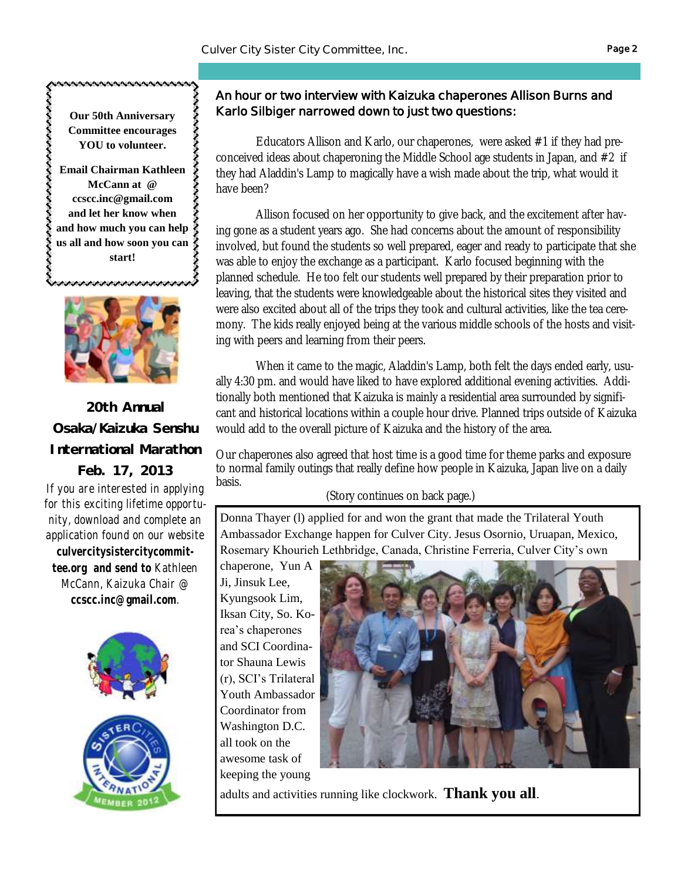



<u>ning ng pagpagpang pagpa</u>

**20th Annual Osaka/Kaizuka Senshu International Marathon Feb. 17, 2013**  If you are interested in applying for this exciting lifetime opportunity, download and complete an application found on our website **culvercitysistercitycommittee.org and send to** Kathleen McCann, Kaizuka Chair @ **ccscc.inc@gmail.com**.



#### **An hour or two interview with Kaizuka chaperones Allison Burns and Karlo Silbiger narrowed down to just two questions:**

Educators Allison and Karlo, our chaperones, were asked #1 if they had preconceived ideas about chaperoning the Middle School age students in Japan, and #2 if they had Aladdin's Lamp to magically have a wish made about the trip, what would it have been?

Allison focused on her opportunity to give back, and the excitement after having gone as a student years ago. She had concerns about the amount of responsibility involved, but found the students so well prepared, eager and ready to participate that she was able to enjoy the exchange as a participant. Karlo focused beginning with the planned schedule. He too felt our students well prepared by their preparation prior to leaving, that the students were knowledgeable about the historical sites they visited and were also excited about all of the trips they took and cultural activities, like the tea ceremony. The kids really enjoyed being at the various middle schools of the hosts and visiting with peers and learning from their peers.

When it came to the magic, Aladdin's Lamp, both felt the days ended early, usually 4:30 pm. and would have liked to have explored additional evening activities. Additionally both mentioned that Kaizuka is mainly a residential area surrounded by significant and historical locations within a couple hour drive. Planned trips outside of Kaizuka would add to the overall picture of Kaizuka and the history of the area.

Our chaperones also agreed that host time is a good time for theme parks and exposure to normal family outings that really define how people in Kaizuka, Japan live on a daily basis.

(Story continues on back page.)

Donna Thayer (l) applied for and won the grant that made the Trilateral Youth Ambassador Exchange happen for Culver City. Jesus Osornio, Uruapan, Mexico, Rosemary Khourieh Lethbridge, Canada, Christine Ferreria, Culver City's own

chaperone, Yun A Ji, Jinsuk Lee, Kyungsook Lim, Iksan City, So. Korea's chaperones and SCI Coordinator Shauna Lewis (r), SCI's Trilateral Youth Ambassador Coordinator from Washington D.C. all took on the awesome task of keeping the young



adults and activities running like clockwork. **Thank you all**.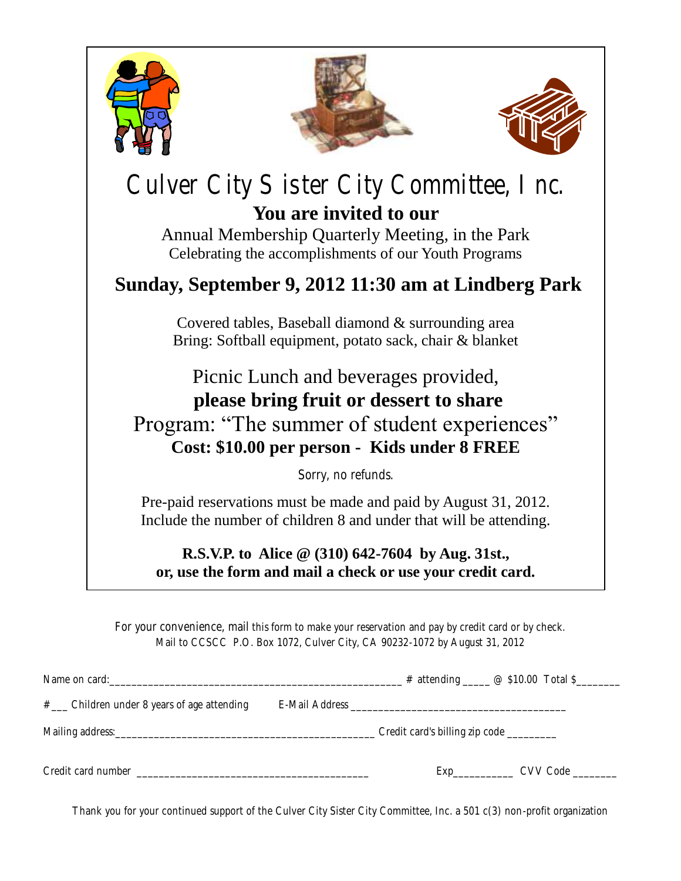





## Culver City Sister City Committee, Inc. **You are invited to our** Annual Membership Quarterly Meeting, in the Park Celebrating the accomplishments of our Youth Programs **Sunday, September 9, 2012 11:30 am at Lindberg Park** Covered tables, Baseball diamond & surrounding area Bring: Softball equipment, potato sack, chair & blanket Picnic Lunch and beverages provided, **please bring fruit or dessert to share**  Program: "The summer of student experiences" **Cost: \$10.00 per person - Kids under 8 FREE** Sorry, no refunds. Pre-paid reservations must be made and paid by August 31, 2012.

Include the number of children 8 and under that will be attending.

### **R.S.V.P. to Alice @ (310) 642-7604 by Aug. 31st., or, use the form and mail a check or use your credit card.**

For your convenience, mail this form to make your reservation and pay by credit card or by check. Mail to CCSCC P.O. Box 1072, Culver City, CA 90232-1072 by August 31, 2012

|                                                                                                                                                                                                                                |                                          | $\frac{4}{10}$ # attending _____ @ \$10.00 Total \$_______ |
|--------------------------------------------------------------------------------------------------------------------------------------------------------------------------------------------------------------------------------|------------------------------------------|------------------------------------------------------------|
| $\#$ Children under 8 years of age attending                                                                                                                                                                                   |                                          |                                                            |
|                                                                                                                                                                                                                                | Credit card's billing zip code _________ |                                                            |
| Credit card number and the contract of the contract of the contract of the contract of the contract of the contract of the contract of the contract of the contract of the contract of the contract of the contract of the con | $\vdash$ XD                              | CVV Code <b>CVV</b>                                        |

Thank you for your continued support of the Culver City Sister City Committee, Inc. a 501 c(3) non-profit organization